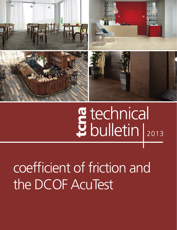

# **g** technical<br>U bulletin |2013

# coefficient of friction and the DCOF AcuTest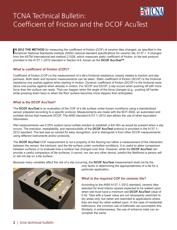

## TCNA Technical Bulletin: Coefficient of Friction and the DCOF AcuTest

**IN 2012 THE METHOD** for measuring the coefficient of friction (COF) of ceramic tiles changed, as specified in the<br>American National Standards Institute (ANSI) national standard specifications for ceramic tile, A137.1. It **N 2012 THE METHOD** for measuring the coefficient of friction (COF) of ceramic tiles changed, as specified in the from the ASTM International test method C1028, which measures static coefficient of friction, to the test protocol provided in the A137.1–2012 standard in Section 9.6, known as the DCOF AcuTest<sup>sM</sup>.

#### **What is coefficient of friction (COF)?**

Coefficient of friction (COF) is the measurement of a tile's frictional resistance, closely related to traction and slipperiness. Both static and dynamic measurements can be taken. Static coefficient of friction (SCOF) is the frictional resistance one pushes against when starting in motion. Dynamic coefficient of friction (DCOF) is the frictional resistance one pushes against when already in motion. For SCOF and DCOF, a slip occurs when pushing off with more force than the surface can resist. That can happen when the angle of the force changes (e.g., pushing off harder while pressing down less) or when the floor surface becomes more slippery than anticipated.

#### **What is the DCOF AcuTest?**

The **DCOF AcuTest** is an evaluation of the COF of a tile surface under known conditions using a standardized sensor prepared according to a specific protocol. Measurements are made with the BOT-3000, an automated and portable device that measures DCOF. The ANSI standard A137.1–2012 also allows the use of other equivalent tribometers.

Wet measurements use 0.05% sodium lauryl sulfate solution to establish a thin film as would be present when a slip occurs. The precision, repeatability, and reproducibility of the **DCOF AcuTest** protocol is provided in the A137.1– 2012 standard. The test was so named for easy recognition, and to distinguish it from other DCOF measurements using different instruments and/or protocols.

The **DCOF AcuTest** COF measurement is not a property of the flooring but rather a measurement of the interaction between the sensor, the lubricant, and the tile surface under controlled conditions. It is useful to allow comparison between surfaces or to evaluate how a surface has changed over time. However, while the **DCOF AcuTest** can provide a useful comparison of tile surfaces, it cannot, nor can any other device, predict the likelihood a person will or will not slip on a tile surface.

Because many variables affect the risk of a slip occurring, the **DCOF AcuTest** measurement shall not be the



only factor in determining the appropriateness of a tile for a particular application.

#### **What is the required COF for ceramic tile?**

According to the ANSI A137.1–2012 standard, ceramic tiles selected for level interior spaces expected to be walked upon when wet must have a minimum wet **DCOF AcuTest** value of 0.42. Tiles with a lower value are not necessarily restricted to dry areas only, but rather are restricted to applications where they are kept dry when walked upon. In the case of residential bathrooms, the common use of bathmats can accomplish this. Similarly, in entranceways, the use of entrance mats can accomplish the same.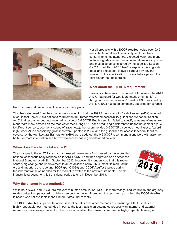

Not all products with a **DCOF AcuTest** value over 0.42 are suitable for all applications. Type of use, traffic, contaminants, maintenance, expected wear, and manufacturer's guidelines and recommendations are important and must also be considered by the specifier. Section 6.2.2.1.10 of ANSI A137.1–2012 explains this in greater detail and should be reviewed carefully by anyone involved in the specification process before picking the right tile for their next project!

#### **What about the 0.6 ADA requirement?**

Previously, there was no required COF value in the ANSI A137.1 standard for wet floors (static or dynamic), although a minimum value of 0.6 wet SCOF measured by ASTM C1028 has been commonly specified for ceramic

tile in commercial project specifications for many years.

This likely stemmed from the common misconception that the 1991 Americans with Disabilities Act (ADA) required such. In fact, the ADA did not set a requirement but rather referenced accessibility guidelines (Appendix Section A4.5) that recommended, not required, a value of 0.6 SCOF. But this section failed to specify a means of measurement. With many devices on the market for measuring COF, each producing a different value for the same tile (due to different sensors, geometry, speed of travel, etc.), the recommended 0.6 SCOF value was meaningless. Accordingly, when ADA accessibility guidelines were updated in 2004, and the guidelines for access to federal facilities covered by the Architectural Barriers Act (ABA) were updated, the 0.6 SCOF recommendations were withdrawn for both. For more information see http://www.access-board.gov/ada-aba/final.cfm.

#### **When does the change take effect?**

The changes to the A137.1 standard addressed herein were first passed by the accredited national consensus body responsible for ANSI A137.1 and then approved as an American National Standard by ANSI in September 2012. However, it is understood that this represents a big change and improvement to an established norm. Thus, most tile manufacturers and importers are reporting SCOF (per C1028) and **DCOF AcuTest** values during the inherent transition needed for the market to switch to the new requirements. The tile industry is targeting for this transitional period to end in December 2013.



#### **Why the change in test methods?**

While both SCOF and DCOF are relevant to human ambulation, DCOF is more widely used worldwide and arguably relates better to slips occurring while a person is in motion. Moreover, the technology on which the **DCOF AcuTest** is based was not available in the United States until recently.

The **DCOF AcuTest** in particular offers several benefits over other methods of measuring COF. First, it is a highly repeatable test method, due in part to the fact that it is an automated process with internal and external reference checks easily made. Also the process by which the sensor is prepared is highly repeatable using a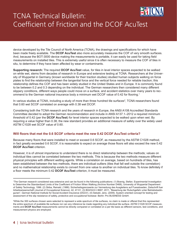

## TCNA Technical Bulletin: Coefficient of Friction and the DCOF AcuTest

device developed by the Tile Council of North America (TCNA), the drawings and specifications for which have been made freely available. The **DCOF AcuTest** also more accurately measures the COF of very smooth surfaces. And, because the BOT-3000 device making the measurements is portable, it can easily be used for taking field measurements on installed tiles. This is extremely useful since it is often necessary to measure the COF of tiles in situ, to determine if they have been affected by wear or contaminants.

**Supporting research:** The required **DCOF AcuTest** value, for tiles in level interior spaces expected to be walked on while wet, stems from decades of research in Europe and extensive testing at TCNA. Researchers at the University of Wuppertal in Germany (known worldwide for their traction studies) studied human subjects walking on force plates to find the relationship between the tangential force and the vertical force needed for reliable traction; this relationship defines the COF and has been widely studied in the United States and in Europe. It is commonly found to be between 0.2 and 0.3 depending on the individual. The German researchers then considered many different slippery conditions, different ways people could move on a surface, and accident statistics over many years to recommend to the German national insurance body a minimum wet DCOF value of 0.42 for flooring.1

In various studies at TCNA, including a study of more than three hundred tile surfaces<sup>2</sup>, TCNA researchers found that 0.60 wet SCOF correlated on average with 0.38 wet DCOF.

Considering both the TCNA research and the years of research in Europe, the ANSI A108 Accredited Standards Committee decided to adopt the German recommendation and include in ANSI A137.1–2012 a required minimum threshold of 0.42 (per the **DCOF AcuTest**) for level interior spaces expected to be walked upon when wet. By requiring a value higher than 0.38, the new standard provides an additional measure of safety over the widely used ASTM C1028 wet SCOF value of 0.60.

#### **Will floors that met the 0.6 SCOF criteria meet the new 0.42 DCOF AcuTest criteria?**

Because many floors that were installed to meet or exceed 0.6 SCOF, as measured by the ASTM C1028 method, in fact greatly exceeded 0.6 SCOF, it is reasonable to expect on average those floors will also exceed the new 0.42 **DCOF AcuTest** criterion.

However, it is of utmost importance to understand there is no direct relationship between the methods; values on individual tiles cannot be correlated between the two methods. This is because the two methods measure different physical principles with different wetting agents. While a correlation on average, based on hundreds of tiles, has been established between the two methods, there are individual outliers (tiles that fall well outside the correlation) and no mathematical relationship exists to convert from one value to another on individual tiles. To know definitely if a floor meets the minimum 0.42 **DCOF AcuTest** criterion, it must be measured.

<sup>1</sup> The German research considered was extensive and can be found in the following publications: (1) Boenig, Stefan. Experimental Investigation to Determine the Standardized Limits of the Coefficient of Friction When Walking (Archive Number D468), University of Wuppertal Department of Safety Technology, 1996. (2) Skiba, Reinald. (1988). Sicherheitsgrenzwerte zur Vermeidung des Ausgleitens auf Fuessboeden, Zeitschrift fuer Arbeitswissenschaft (Journal of Occupational Science), 42, 47-51. (3) BGI/GUV-I 8687, 2011, "Bewertung der Rutschgefahr unter Betriebsbedingunen", German National Institute for Social Accident Insurance (DGUV). (4) Sebald, Jens. (2009). System oriented concept for testing and assessment of the slip resistance of safety, protective and occupational footwear. Berlin: Pro BUSINESS GmbH.

<sup>2</sup> While the 300 surfaces chosen were selected to represent a wide spectrum of tile surfaces, no claim is made or offered that this represented the entire spectrum of available tile surfaces nor can any inference be made regarding any individual tile surface. ASTM C1028 SCOF measurements and **DCOF AcuTest** measurements cannot be directly compared or correlated on a per tile basis as different sensors, test conditions, and measurement physics are employed.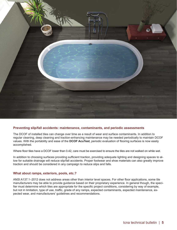

#### **Preventing slip/fall accidents: maintenance, contaminants, and periodic assessments**

The DCOF of installed tiles can change over time as a result of wear and surface contaminants. In addition to regular cleaning, deep cleaning and traction-enhancing maintenance may be needed periodically to maintain DCOF values. With the portability and ease of the **DCOF AcuTest**, periodic evaluation of flooring surfaces is now easily accomplished.

Where floor tiles have a DCOF lower than 0.42, care must be exercised to ensure the tiles are not walked on while wet.

In addition to choosing surfaces providing sufficient traction, providing adequate lighting and designing spaces to allow for suitable drainage will reduce slip/fall accidents. Proper footwear and shoe materials can also greatly improve traction and should be considered in any campaign to reduce slips and falls.

#### **What about ramps, exteriors, pools, etc.?**

ANSI A137.1–2012 does not address areas other than interior level spaces. For other floor applications, some tile manufacturers may be able to provide guidance based on their proprietary experience. In general though, the specifier must determine which tiles are appropriate for the specific project conditions, considering by way of example, but not in limitation, type of use, traffic, grade of any ramps, expected contaminants, expected maintenance, expected wear, and manufacturers' guidelines and recommendations.